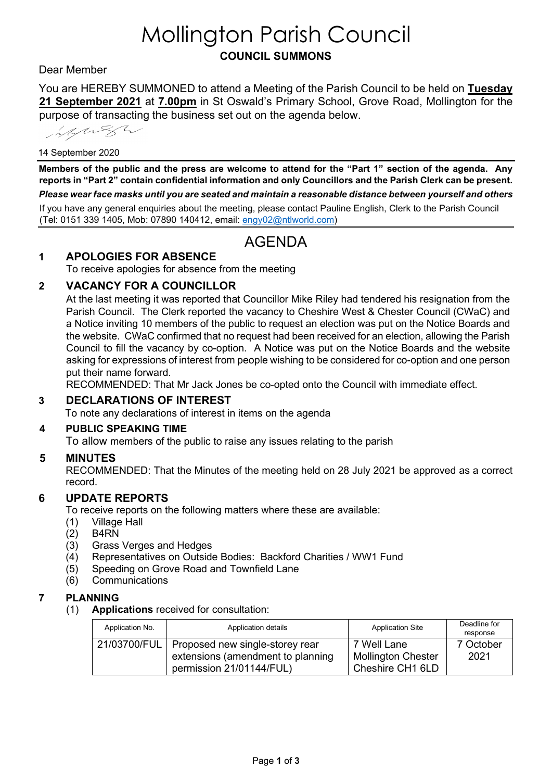# Mollington Parish Council **COUNCIL SUMMONS**

# Dear Member

You are HEREBY SUMMONED to attend a Meeting of the Parish Council to be held on **Tuesday 21 September 2021** at **7.00pm** in St Oswald's Primary School, Grove Road, Mollington for the purpose of transacting the business set out on the agenda below.

information

#### 14 September 2020

**Members of the public and the press are welcome to attend for the "Part 1" section of the agenda. Any reports in "Part 2" contain confidential information and only Councillors and the Parish Clerk can be present.**  *Please wear face masks until you are seated and maintain a reasonable distance between yourself and others* If you have any general enquiries about the meeting, please contact Pauline English, Clerk to the Parish Council (Tel: 0151 339 1405, Mob: 07890 140412, email: [engy02@ntlworld.com\)](mailto:engy02@ntlworld.com)

# AGENDA

### **1 APOLOGIES FOR ABSENCE**

To receive apologies for absence from the meeting

### **2 VACANCY FOR A COUNCILLOR**

At the last meeting it was reported that Councillor Mike Riley had tendered his resignation from the Parish Council. The Clerk reported the vacancy to Cheshire West & Chester Council (CWaC) and a Notice inviting 10 members of the public to request an election was put on the Notice Boards and the website. CWaC confirmed that no request had been received for an election, allowing the Parish Council to fill the vacancy by co-option. A Notice was put on the Notice Boards and the website asking for expressions of interest from people wishing to be considered for co-option and one person put their name forward.

RECOMMENDED: That Mr Jack Jones be co-opted onto the Council with immediate effect.

# **3 DECLARATIONS OF INTEREST**

To note any declarations of interest in items on the agenda

#### **4 PUBLIC SPEAKING TIME**

To allow members of the public to raise any issues relating to the parish

### **5 MINUTES**

RECOMMENDED: That the Minutes of the meeting held on 28 July 2021 be approved as a correct record.

### **6 UPDATE REPORTS**

To receive reports on the following matters where these are available:

- (1) Village Hall
- B<sub>4RN</sub>
- (3) Grass Verges and Hedges
- (4) Representatives on Outside Bodies: Backford Charities / WW1 Fund
- (5) Speeding on Grove Road and Townfield Lane
- (6) Communications

### **7 PLANNING**

(1) **Applications** received for consultation:

| Application No. | Application details                                                                 | <b>Application Site</b>                  | Deadline for<br>response |
|-----------------|-------------------------------------------------------------------------------------|------------------------------------------|--------------------------|
|                 | 21/03700/FUL   Proposed new single-storey rear<br>extensions (amendment to planning | 7 Well Lane<br><b>Mollington Chester</b> | 7 October<br>2021        |
|                 | permission 21/01144/FUL)                                                            | Cheshire CH1 6LD                         |                          |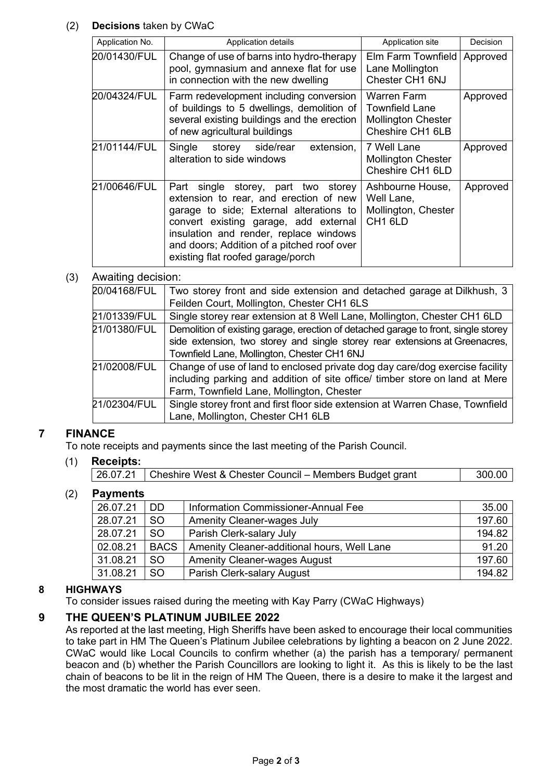# (2) **Decisions** taken by CWaC

| Application No. | Application details                                                                                                                                                                                                                                                                               | Application site                                                                      | Decision |
|-----------------|---------------------------------------------------------------------------------------------------------------------------------------------------------------------------------------------------------------------------------------------------------------------------------------------------|---------------------------------------------------------------------------------------|----------|
| 20/01430/FUL    | Change of use of barns into hydro-therapy<br>pool, gymnasium and annexe flat for use<br>in connection with the new dwelling                                                                                                                                                                       | Elm Farm Townfield<br>Lane Mollington<br>Chester CH1 6NJ                              | Approved |
| 20/04324/FUL    | Farm redevelopment including conversion<br>of buildings to 5 dwellings, demolition of<br>several existing buildings and the erection<br>of new agricultural buildings                                                                                                                             | Warren Farm<br><b>Townfield Lane</b><br><b>Mollington Chester</b><br>Cheshire CH1 6LB | Approved |
| 21/01144/FUL    | storey side/rear extension,<br>Single<br>alteration to side windows                                                                                                                                                                                                                               | 7 Well Lane<br><b>Mollington Chester</b><br>Cheshire CH1 6LD                          | Approved |
| 21/00646/FUL    | single storey, part two storey<br>Part<br>extension to rear, and erection of new<br>garage to side; External alterations to<br>convert existing garage, add external<br>insulation and render, replace windows<br>and doors; Addition of a pitched roof over<br>existing flat roofed garage/porch | Ashbourne House,<br>Well Lane,<br>Mollington, Chester<br>CH <sub>1</sub> 6LD          | Approved |

# (3) Awaiting decision:

| 20/04168/FUL | Two storey front and side extension and detached garage at Dilkhush, 3             |  |  |
|--------------|------------------------------------------------------------------------------------|--|--|
|              | Feilden Court, Mollington, Chester CH1 6LS                                         |  |  |
| 21/01339/FUL | Single storey rear extension at 8 Well Lane, Mollington, Chester CH1 6LD           |  |  |
| 21/01380/FUL | Demolition of existing garage, erection of detached garage to front, single storey |  |  |
|              | side extension, two storey and single storey rear extensions at Greenacres,        |  |  |
|              | Townfield Lane, Mollington, Chester CH1 6NJ                                        |  |  |
| 21/02008/FUL | Change of use of land to enclosed private dog day care/dog exercise facility       |  |  |
|              | including parking and addition of site office/ timber store on land at Mere        |  |  |
|              | Farm, Townfield Lane, Mollington, Chester                                          |  |  |
| 21/02304/FUL | Single storey front and first floor side extension at Warren Chase, Townfield      |  |  |
|              | Lane, Mollington, Chester CH1 6LB                                                  |  |  |

# **7 FINANCE**

To note receipts and payments since the last meeting of the Parish Council.

# (1) **Receipts:**

# (2) **Payments**

| 26.07.21 | DD.         | Information Commissioner-Annual Fee         | 35.00  |
|----------|-------------|---------------------------------------------|--------|
| 28.07.21 | <b>SO</b>   | <b>Amenity Cleaner-wages July</b>           | 197.60 |
| 28.07.21 | <b>SO</b>   | Parish Clerk-salary July                    | 194.82 |
| 02.08.21 | <b>BACS</b> | Amenity Cleaner-additional hours, Well Lane | 91.20  |
| 31.08.21 | SO.         | <b>Amenity Cleaner-wages August</b>         | 197.60 |
| 31.08.21 | <b>SO</b>   | Parish Clerk-salary August                  | 194.82 |

# **8 HIGHWAYS**

To consider issues raised during the meeting with Kay Parry (CWaC Highways)

### **9 THE QUEEN'S PLATINUM JUBILEE 2022**

As reported at the last meeting, High Sheriffs have been asked to encourage their local communities to take part in HM The Queen's Platinum Jubilee celebrations by lighting a beacon on 2 June 2022. CWaC would like Local Councils to confirm whether (a) the parish has a temporary/ permanent beacon and (b) whether the Parish Councillors are looking to light it. As this is likely to be the last chain of beacons to be lit in the reign of HM The Queen, there is a desire to make it the largest and the most dramatic the world has ever seen.